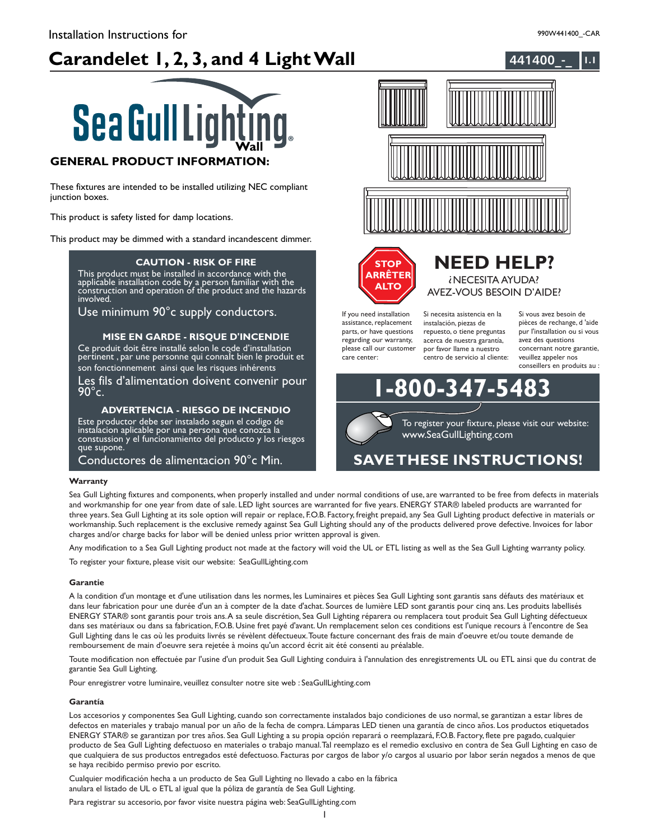**441400\_-\_**

# **Carandelet 1, 2, 3, and 4 Light Wall 1.111400 1201111111111111111111111111111**



These fixtures are intended to be installed utilizing NEC compliant junction boxes.

This product is safety listed for damp locations.

This product may be dimmed with a standard incandescent dimmer.

### **CAUTION - RISK OF FIRE**

llation code by a person familia **This product requires installation by a qualified electrician. Before installer**<br>**Before instructions and instructions and instructions and instructions and instructions and instructions and in** This product must be installed in accordance with the applicable installation code by a person familiar with the construction and operation of the product and the hazards involved.

Use minimum 90°c supply conductors.

#### **MISE EN GARDE - RISQUE D'INCENDIE**

Ce produit doit être installé selon le code d'installation pertinent , par une personne qui connalt bien le produit et son fonctionnement ainsi que les risques inhérents

Les fils d'alimentation doivent convenir pour  $90^\circ$ c.

#### **ADVERTENCIA - RIESGO DE INCENDIO**

Este productor debe ser instalado segun el codigo de instalacion aplicable por una persona que conozca la constussion y el funcionamiento del producto y los riesgos que supone.

Conductores de alimentacion 90°c Min.

#### **Warranty**

Sea Gull Lighting fixtures and components, when properly installed and under normal conditions of use, are warranted to be free from defects in materials and workmanship for one year from date of sale. LED light sources are warranted for five years. ENERGY STAR® labeled products are warranted for three years. Sea Gull Lighting at its sole option will repair or replace, F.O.B. Factory, freight prepaid, any Sea Gull Lighting product defective in materials or workmanship. Such replacement is the exclusive remedy against Sea Gull Lighting should any of the products delivered prove defective. Invoices for labor charges and/or charge backs for labor will be denied unless prior written approval is given.

Any modification to a Sea Gull Lighting product not made at the factory will void the UL or ETL listing as well as the Sea Gull Lighting warranty policy.

To register your fixture, please visit our website: SeaGullLighting.com

#### **Garantie**

A la condition d'un montage et d'une utilisation dans les normes, les Luminaires et pièces Sea Gull Lighting sont garantis sans défauts des matériaux et dans leur fabrication pour une durée d'un an à compter de la date d'achat. Sources de lumière LED sont garantis pour cinq ans. Les produits labellisés ENERGY STAR® sont garantis pour trois ans.A sa seule discrétion, Sea Gull Lighting réparera ou remplacera tout produit Sea Gull Lighting défectueux dans ses matériaux ou dans sa fabrication, F.O.B. Usine fret payé d'avant. Un remplacement selon ces conditions est l'unique recours à l'encontre de Sea Gull Lighting dans le cas où les produits livrés se révèlent défectueux.Toute facture concernant des frais de main d'oeuvre et/ou toute demande de remboursement de main d'oeuvre sera rejetée à moins qu'un accord écrit ait été consenti au préalable.

Toute modification non effectuée par l'usine d'un produit Sea Gull Lighting conduira à l'annulation des enregistrements UL ou ETL ainsi que du contrat de garantie Sea Gull Lighting.

Pour enregistrer votre luminaire, veuillez consulter notre site web : SeaGullLighting.com

#### **Garantía**

Los accesorios y componentes Sea Gull Lighting, cuando son correctamente instalados bajo condiciones de uso normal, se garantizan a estar libres de defectos en materiales y trabajo manual por un año de la fecha de compra. Lámparas LED tienen una garantía de cinco años. Los productos etiquetados ENERGY STAR® se garantizan por tres años. Sea Gull Lighting a su propia opción reparará o reemplazará, F.O.B. Factory, flete pre pagado, cualquier producto de Sea Gull Lighting defectuoso en materiales o trabajo manual.Tal reemplazo es el remedio exclusivo en contra de Sea Gull Lighting en caso de que cualquiera de sus productos entregados esté defectuoso. Facturas por cargos de labor y/o cargos al usuario por labor serán negados a menos de que se haya recibido permiso previo por escrito.

Cualquier modificación hecha a un producto de Sea Gull Lighting no llevado a cabo en la fábrica anulara el listado de UL o ETL al igual que la póliza de garantía de Sea Gull Lighting.

Para registrar su accesorio, por favor visite nuestra página web: SeaGullLighting.com





care center:

#### AVEZ-VOUS BESOIN D'AIDE? If you need installation assistance, replacement parts, or have questions regarding our warranty, Si necesita asistencia en la instalación, piezas de repuesto, o tiene preguntas acerca de nuestra garantía,

please call our customer por favor llame a nuestro centro de servicio al cliente:

Si vous avez besoin de pièces de rechange, d 'aide pur l'installation ou si vous avez des questions concernant notre garantie, veuillez appeler nos conseillers en produits au :

**1-800-347-5483** To register your fixture, please visit our website:

www.SeaGullLighting.com

**NEED HELP?** ? NECESITA AYUDA?

## **ETHESE INSTRUCTIONS!**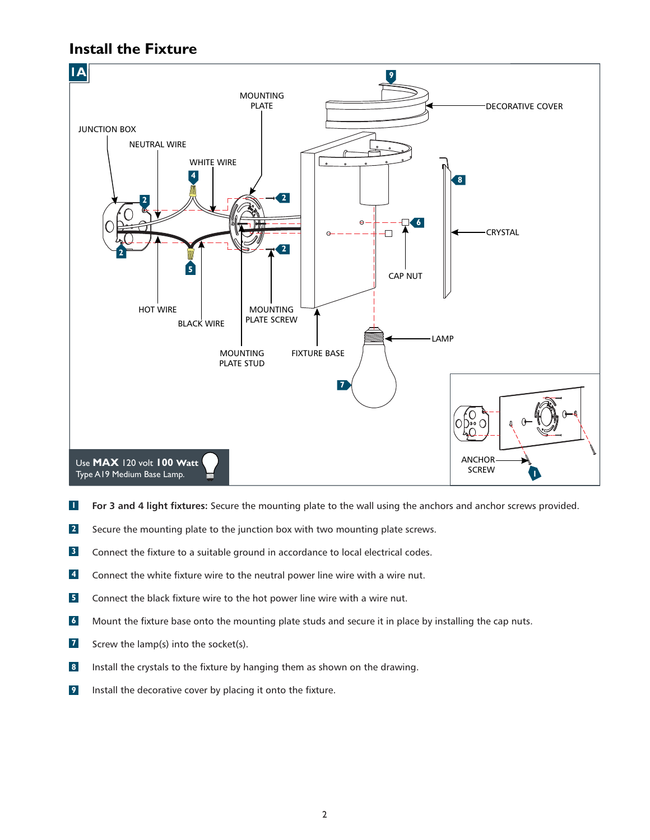### **Install the Fixture**



- **For 3 and 4 light fixtures:** Secure the mounting plate to the wall using the anchors and anchor screws provided. **1**
- Secure the mounting plate to the junction box with two mounting plate screws. **2**
- Connect the fixture to a suitable ground in accordance to local electrical codes. **3**
- Connect the white fixture wire to the neutral power line wire with a wire nut. **4**
- Connect the black fixture wire to the hot power line wire with a wire nut. **5**
- Mount the fixture base onto the mounting plate studs and secure it in place by installing the cap nuts. **6**
- Screw the lamp(s) into the socket(s). **7**
- Install the crystals to the fixture by hanging them as shown on the drawing. **8**
- Install the decorative cover by placing it onto the fixture. **9**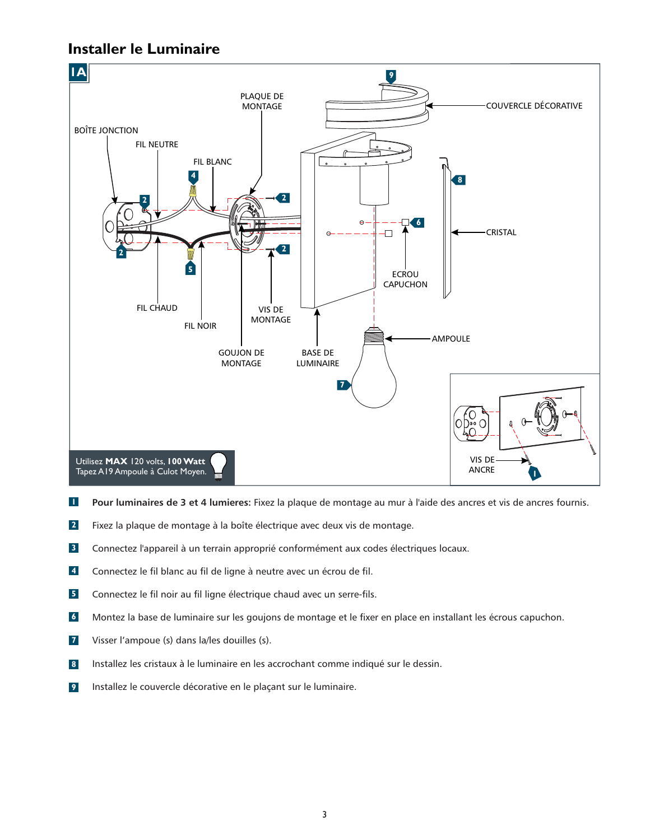### **Installer le Luminaire**



- **Pour luminaires de 3 et 4 lumieres:** Fixez la plaque de montage au mur à l'aide des ancres et vis de ancres fournis. **1**
- Fixez la plaque de montage à la boîte électrique avec deux vis de montage. **2**
- Connectez l'appareil à un terrain approprié conformément aux codes électriques locaux. **3**
- Connectez le fil blanc au fil de ligne à neutre avec un écrou de fil. **4**
- Connectez le fil noir au fil ligne électrique chaud avec un serre-fils. **5**
- Montez la base de luminaire sur les goujons de montage et le fixer en place en installant les écrous capuchon. **6**
- Visser l'ampoue (s) dans la/les douilles (s). **7**
- Installez les cristaux à le luminaire en les accrochant comme indiqué sur le dessin. **8**
- Installez le couvercle décorative en le plaçant sur le luminaire. **9**